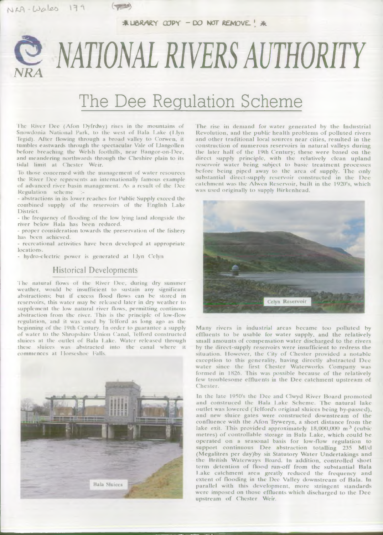$*$  LIBRARY COPY - DO NOT REMOVE! \*

# *NRA NATIONAL RIVERS AUTHORITY*

## The Dee Regulation Scheme

The River Dee (Afon Dyfrdwy) rises in the mountains of Snowdonia National Park, to the west of Bala Lake (Llyn Tegid). After flowing through a broad valley to Corwen, it tumbles eastwards through the spectacular Vale of Llangollen before breaching the Welsh foothills, near Bangor-on-Dee, and meandering northwards through the Cheshire plain to its tidal limit at Chester Weir.

To those concerned with the management of water resources the River Dee represents an internationally famous example of advanced river basin management. As a result of the Dec-Regulation scheme

- abstractions in its lower reaches for Public Supply exceed the com bined supply of the reservoirs of the Fnglish Lake District.

- the frequency of flooding of the low lying land alongside the river below Bala has been reduced.

- proper consideration towards the preservation of the fishery has been achieved.

- recreational activities have been developed at appropriate locations.

- hydro-electric power is generated at l.lyn Celyn

#### Historical Developments

The natural flows of the River Dee, during dry summer w eather, w ould be insufficient to sustain any significant abstractions; but if excess flood flows can be stored in reservoirs, this water may be released later in dry weather to supplement the low natural river flows, permitting continous abstraction from the river. This is the principle of low-flow regulation, and it was used by 'lelford as long ago as the beginning of the 19th Century. In order to guarantee a supply of water to the Shropshire Union Canal, lelford constructed sluices at the outlet of Bala Lake. Water released through these sluices was abstracted into the canal where it commences at Horseshoe Falls.



The rise in demand for water generated by the Industrial Revolution, and the public health problems of polluted rivers and other traditional local sources near cities, resulted in the construction of numerous reservoirs in natural valleys during the later half of the 19th Century; these were based on the direct supply principle, with the relatively clean upland reservoir water being subject to basic treatment processes before being piped away to the area of supply. The only substantial direct-supply reservoir constructed in the Dee catchment was the Alwen Reservoir, built in the 1920's, which was used originally to supply Birkenhead.



Many rivers in industrial areas became too polluted by effluents to be usable for water supply, and the relatively small amounts of compensation water discharged to the rivers by the direct-supply reservoirs were insufficient to redress the situation. However, the City of Chester provided a notable exception to this generality, having directly abstracted Dec water since the first Chester Waterworks Company was formed in 1826. This was possible because of the relatively few troublesome effluents in the Dee catchment upstream of Chester.

In the late 1950's the Dee and Clwyd River Board promoted and construced the Bala Lake Scheme. The natural lake outlet was lowered (Telford's original sluices being by-passed), and new sluice gates were constructed downstream of the confluence with the Afon Tryweryn, a short distance from the lake exit. This provided approximately  $18,000,000$  m<sup>3</sup> (cubic metres) of controllable storage in Bala Lake, which could be operated on a seasonal basis for low-flow regulation to support continuous Dee abstraction totalling 235 Ml/d (Megalitres per day)by six Statutory Water Undertakings and the British Waterways Board. In addition, controlled short term detention of flood run-off from the substantial Bala Lake catchment area greatly reduced the frequency and extent of flooding in the Dee Valley downstream of Bala. In parallel with this development, more stringent standards were imposed on those effluents which discharged to the Dec upstream of Chester Weir.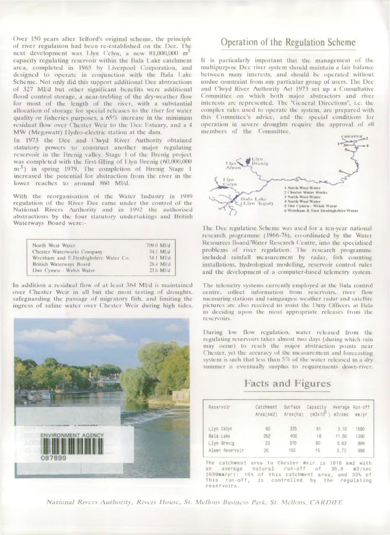Over 150 years after lelford's original scheme, Ihe principle of river regulation had been re-established on the Dee. The next development was  $1 \text{.}$ lyn Celyn, a new 81,000,000 m<sup>3</sup> capacity regulating reservoir within the Bala Lake catchment area, completed in 1965 by I.ivcrpool Corporation, and designed to operate in conjunction with the Bala Lake Scheme. Not only did this support additional Dee abstractions of 327 Ml/d but other significant benefits were additional flood control storage, a near-trebling of the dry-weather flow for most of the length of the river, with a substantial allocation of storage for special releases to the river for water quality or fisheries purposes, a 65% increase in the minimum residual flow over Chester Weir to the Dee Estuary, and a 4 MW (Megawatt) IIydro-electric station at the dam.

In 1973 the Dee and Clwyd River Authority obtained statutory powers to construct another major regulating reservoir in the Brcnig valley. Stage 1 of the Brcnig project was completed with the first-filling of  $I$  lyn Brenig  $(60,000,000)$  $m<sup>3</sup>$ ) in spring 1979. The completion of Brenig Stage 1 increased the potential for abstraction from the river in the lower reaches to around 860 Ml/d.

With the reorganisation of the Water Industry in 1989 regulation of the River Dee came under the control of the National Rivers Authority and in 1992 the authorised abstractions by the four statutory undertakings and British Waterways Board were:-

| Dwr Cymru - Welsh Water | North West Water<br><b>Chester Waterworks Company</b><br>Wrexham and E.Denbighshire Water Co.<br><b>British Waterways Board</b> | 709.0 MI/d<br>34.1 MId<br>34.1 MI/d<br>28.4 MI/d<br>23.6 MI/d |
|-------------------------|---------------------------------------------------------------------------------------------------------------------------------|---------------------------------------------------------------|
|-------------------------|---------------------------------------------------------------------------------------------------------------------------------|---------------------------------------------------------------|

In addition a residual How of at least 364 Ml/d is maintained over Chester Weir in all but the most testing of droughts, safeguarding the passage of migratory fish, and limiting the ingress of saline water over Chester Weir during high tides.



### Operation of the Regulation Scheme

It is particularly important that the management of the multipurpose Dec river system should maintain a lair balance between many interests, and should be operated without undue constraint from any particular group of users. The Dee and Clwyd River Authority Act 1973 set up a Consultative Committee on which both major abstractors and river interests arc represented. The "General Directions", i.e. the complex rules used to operate the system, are prepared with this Committee's advice, and the special conditions lor operation in severe droughts require the approval of all members of the Committee.



The Dee regulation Scheme was used for a ten-year national research programme (1966-76), co-ordinated by the Water Resources Board/Water Research Centre, into the specialised problems of river regulation. 1 he research programme included rainfall measurement by radar, fish counting installations, hydrological modelling, reservoir control rules and the development of a computer-based telemetry system.

The telemetry systems currently employed at the Bala control centre, collect information from reservoirs, river flow measuring stations and raingaugcs: weather radar and satellite pictures are also received to assist the Duty Officers at Bala in deciding upon the most appropriate releases from the resc rvoirs.

During low How regulation, water released from the regulating reservoirs takes almost two days (during which rain may occur) to reach the major abstraction points near Chester, yet the accuracy of the measurement and forecasting system is such that less than *5%* of the water released in a dry summer is eventually surplus to requirements down-river.

### **Facts and Figures**

| Reservoir       | Catchment<br>Area(km2) | Surface<br>Area(ha) | Capacity<br>$(m3x10^6)$ | Average Run-off<br>$m3/sec$ $mm/yr$ |      |  |
|-----------------|------------------------|---------------------|-------------------------|-------------------------------------|------|--|
| Llyn Celyn      | 60                     | 325                 | 8                       | 3.10                                | 590  |  |
| Bala Lake       | 262                    | 400                 | 18                      | 11.50                               | 1380 |  |
| Llyn Brenig     | 23                     | 370                 | 60                      | 0.62                                | 884  |  |
| Alwen Reservoir | 26                     | 150                 | 15                      | 0.73                                | 899  |  |

The catchment area to Chester Weir is 1816 km2 with average natural run-off of 36.8 m3/sec (639mra/yr): 16% of this catchment area, and 33% of this run-off, is controlled by the regulating reservoirs.

*National Rivers Authority, Rivers House, St. Mellons Business Park, St. Mellons, CARDIFF.*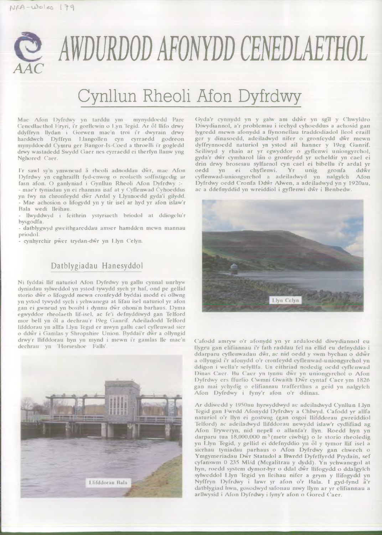

## Cynllun Rheoli Afon Dyfrdwy

Mae Afon Dyfrdwy yn tarddu ym mynyddoedd Parc Cenedlaethol Eryri, i'r gorllewin o Lyn Tegid. Ar ôl llifo drwy ddyffryn llydan i Gorwen mae'n troi i'r dwyrain drwy harddwch Dyffryn Llangollen cyn cyrraedd godreon mynyddoedd Cymru ger Bangor-Is-Coed a throelli i'r gogledd drwy wastadedd Swydd Gaer nes cyrraedd ei therfyn llanw yng Nghored Caer.

I'r sawl sy'n ymwneud a rheoli adnoddau dwr, mae Afon Dyfrdwy yn enghraifft fyd-enwog o reolaeth soffistigedig ar fasn afon. O ganlyniad i Gynllun Rheoli Afon Dyfrdwy :-

- mae'r tyniadau yn ei rhannau isaf at y Cyflenwad Cyhoeddus yn fwy na chronfeydd dwr Ardal y Llynnoedd gyda'i gilydd. - Mae achosion o lifogydd yn y tir isel ar hyd yr afon islaw'r Bala wedi lleihau.

- llwyddwyd i feithrin yslyriaeth briodol at ddiogelu'r bysgodfa.

- datblygwyd gweithgareddau amser hamdden mewn mannau priodol.

- cynhyrchir pwer trydan-dwr yn Llyn Celyn.

#### Datblygiadau Hanesyddol

Ni fyddai llif naturiol Afon Dyfrdwy yn gallu cynnal unrhyw dyniadau sylweddol yn ystod tywydd sych yr haf, ond pe gellid storio dwr o lifogydd mewn cronfeydd byddai modd ei ollwng yn ystod tywydd sych i ychw anegu at lifau isel naturiol yr afon gan ei gwneud yn bosibl i dynnu dwr ohoni'n barhaus. Dyma egwyddor rheolaeth lif-isel, ac fe'i defnyddiwyd gan Telford mor bell yn ôl a dechrau'r 19eg Ganrif. Adeiladodd Telford lifddorau yn allfa Llyn Tegid er mwyn gallu cael cyflenwad sicr o ddwr i Gamlas y Shropshire Union. Byddai'r dwr a ollyngid drwy'r llifddorau hyn yn mynd i mewn i'r gamlas lle mae'n dechrau yn 'Horseshoe Falls'



(iyda'r cynnydd yn y galw am ddwr yn sgîl y Chwyldro Diwydiannol, a'r problemau i icchyd cyhoeddus a achosid gan lygredd mewn afonydd a ffynonellau traddodiadol lleol craill ger y dinasoedd, adeiladwyd nifer o gronfeydd dwr mewn dyffrynnoedd naturiol yn ystod ail hanner y 19eg Ganrif. Sciliwyd y rhain ar yr egwyddor o gyflenwi uniongyrchol, gyda'r dŵr cymharol lan o gronfeydd yr ucheldir yn cael ei drin drwy brosesau sylfaenol cyn cael ei bibellu i'r ardal yr oedd yn ei chyflenwi. Yr unig gronfa ddwr cyflenwad-uniongyrchol a adeiladwyd yn nalgylch Afon Dyfrdwy oedd Cronfa Ddwr Alwen, a adeiladwyd yn y 1920au, ac a ddefnyddid yn wreiddiol i gyflenwi dwr i Benbedw.



Cafodd amryw o'r afonydd yn yr ardaloedd diwydiannol eu llygru gan elifiannau i'r fath raddau fel na ellid eu defnyddio i ddarparu cyflenwadau dwr, ac nid oedd y swm bychan o ddwr a ollyngid i'r afonydd o'r cronfeydd cyflenwad-u niongyrchol yn ddigon i wella'r sefyllfa. Un cithriad nodedig oedd cyflenwad Dinas Caer. Bu Caer yn tynnu dwr yn uniongyrchol o Afon Dyfrdwy ers ffurfio Cwmni Gwaith Dwr cyntaf Caer ym 1826 gan mai ychydig o elifiannau trafferthus a geid yn nalgylch Afon Dyfrdwy i fyny'r afon o'r ddinas.

Ar ddiwedd y 1950au hyrwyddwyd ac adeiladwyd Cynllun Llyn 'legid gan Ewrdd Afonydd Dyfrdwy a Chlwyd. Cafodd yr allfa naturiol o'r llyn ei gostwng (gan osgoi llifddorau gwreiddiol Telford) ac adeiladwyd llifddorau newydd islaw'r cydlifiad ag Afon Tryweryn, nid nepell o allanfa'r llyn. Roedd hyn yn darparu tua 18,000,000 m<sup>3</sup> (metr ciwbig) o le storio rheoledig yn Llyn Tegid, y gellid ei ddefnyddio yn ôl y tymor llif isel a sicrhau tyniadau parhaus o Afon Dyfrdwy gan chwech o Ymgymeriadau Dwr Statudol a Bwrdd Dyfrffyrdd Prydain, sef cyfanswm 0 235 Ml/d (Megalitrau y dydd). Yn ychwanegol at hyn, roedd system dymor-byr o ddal dwr llifogydd o ddalgylch sylweddol Llyn legid yn lleihau nifer a grym y llifogydd yn Nyffryn Dyfrdwy i lawr yr afon o'r Bala. I gyd-fynd a'r datblygiad hwn, gosodwyd safonau mwy llym ar yr clifiannau a arllwysid i Afon Dyfrdwy i fyny'r afon o Gored Caer.